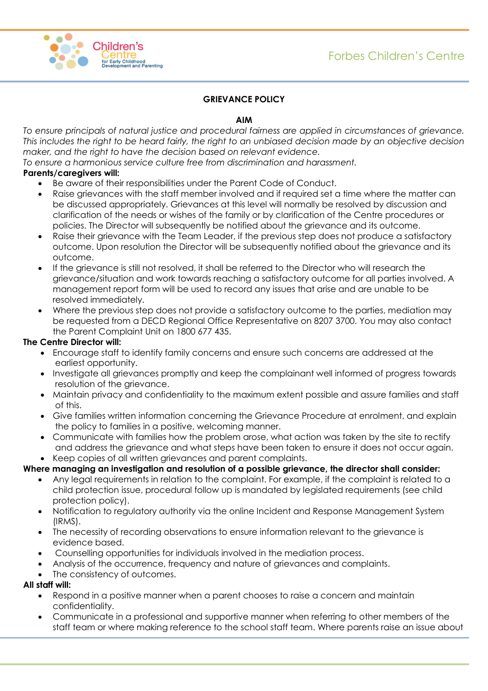

# **GRIEVANCE POLICY**

### **AIM**

*To ensure principals of natural justice and procedural fairness are applied in circumstances of grievance. This includes the right to be heard fairly, the right to an unbiased decision made by an objective decision maker, and the right to have the decision based on relevant evidence.*

*To ensure a harmonious service culture free from discrimination and harassment.*

# **Parents/caregivers will:**

- Be aware of their responsibilities under the Parent Code of Conduct.
- Raise grievances with the staff member involved and if required set a time where the matter can be discussed appropriately. Grievances at this level will normally be resolved by discussion and clarification of the needs or wishes of the family or by clarification of the Centre procedures or policies. The Director will subsequently be notified about the grievance and its outcome.
- Raise their grievance with the Team Leader, if the previous step does not produce a satisfactory outcome. Upon resolution the Director will be subsequently notified about the grievance and its outcome.
- If the grievance is still not resolved, it shall be referred to the Director who will research the grievance/situation and work towards reaching a satisfactory outcome for all parties involved. A management report form will be used to record any issues that arise and are unable to be resolved immediately.
- Where the previous step does not provide a satisfactory outcome to the parties, mediation may be requested from a DECD Regional Office Representative on 8207 3700. You may also contact the Parent Complaint Unit on 1800 677 435.

### **The Centre Director will:**

- Encourage staff to identify family concerns and ensure such concerns are addressed at the earliest opportunity.
- Investigate all grievances promptly and keep the complainant well informed of progress towards resolution of the grievance.
- Maintain privacy and confidentiality to the maximum extent possible and assure families and staff of this.
- Give families written information concerning the Grievance Procedure at enrolment, and explain the policy to families in a positive, welcoming manner.
- Communicate with families how the problem arose, what action was taken by the site to rectify and address the grievance and what steps have been taken to ensure it does not occur again.

• Keep copies of all written grievances and parent complaints.

# **Where managing an investigation and resolution of a possible grievance, the director shall consider:**

- Any legal requirements in relation to the complaint. For example, if the complaint is related to a child protection issue, procedural follow up is mandated by legislated requirements (see child protection policy).
- Notification to regulatory authority via the online Incident and Response Management System (IRMS).
- The necessity of recording observations to ensure information relevant to the grievance is evidence based.
- Counselling opportunities for individuals involved in the mediation process.
- Analysis of the occurrence, frequency and nature of grievances and complaints.
- The consistency of outcomes.

# **All staff will:**

- Respond in a positive manner when a parent chooses to raise a concern and maintain confidentiality.
- Communicate in a professional and supportive manner when referring to other members of the staff team or where making reference to the school staff team. Where parents raise an issue about